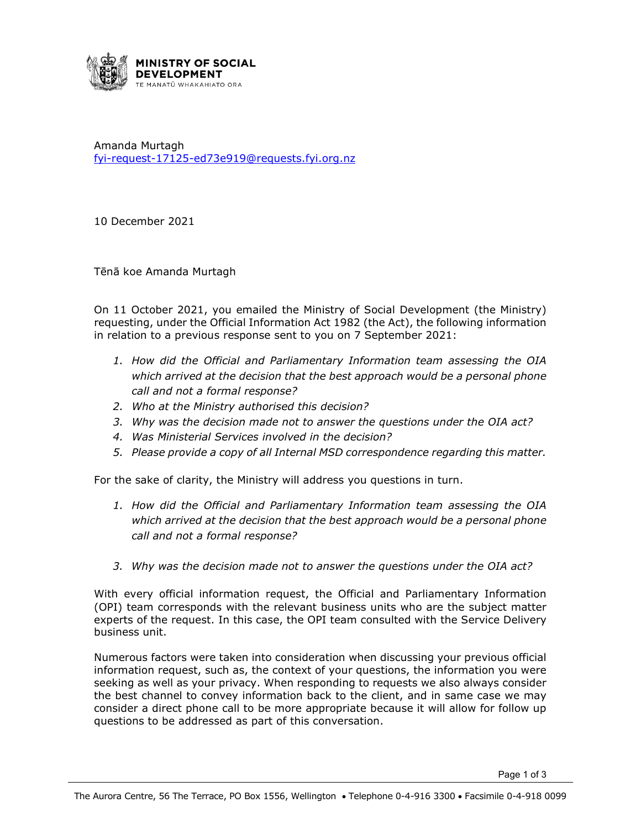

Amanda Murtagh [fyi-request-17125-ed73e919@requests.fyi.org.nz](mailto:xxxxxxxxxxxxxxxxxxxxxxxxxx@xxxxxxxx.xxx.xxx.xx)

10 December 2021

Tēnā koe Amanda Murtagh

On 11 October 2021, you emailed the Ministry of Social Development (the Ministry) requesting, under the Official Information Act 1982 (the Act), the following information in relation to a previous response sent to you on 7 September 2021:

- *1. How did the Official and Parliamentary Information team assessing the OIA which arrived at the decision that the best approach would be a personal phone call and not a formal response?*
- *2. Who at the Ministry authorised this decision?*
- *3. Why was the decision made not to answer the questions under the OIA act?*
- *4. Was Ministerial Services involved in the decision?*
- *5. Please provide a copy of all Internal MSD correspondence regarding this matter.*

For the sake of clarity, the Ministry will address you questions in turn.

- *1. How did the Official and Parliamentary Information team assessing the OIA which arrived at the decision that the best approach would be a personal phone call and not a formal response?*
- *3. Why was the decision made not to answer the questions under the OIA act?*

With every official information request, the Official and Parliamentary Information (OPI) team corresponds with the relevant business units who are the subject matter experts of the request. In this case, the OPI team consulted with the Service Delivery business unit.

Numerous factors were taken into consideration when discussing your previous official information request, such as, the context of your questions, the information you were seeking as well as your privacy. When responding to requests we also always consider the best channel to convey information back to the client, and in same case we may consider a direct phone call to be more appropriate because it will allow for follow up questions to be addressed as part of this conversation.

Page 1 of 3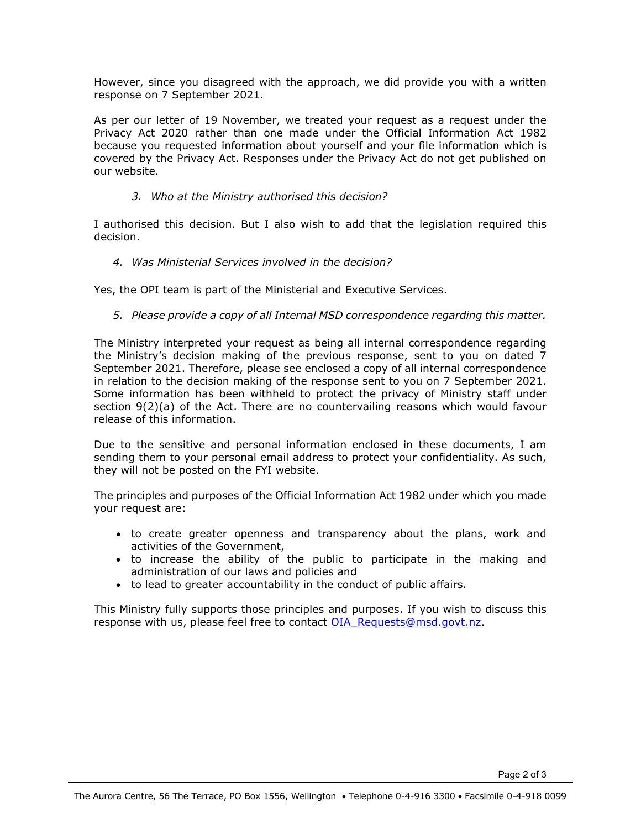However, since you disagreed with the approach, we did provide you with a written response on 7 September 2021.

As per our letter of 19 November, we treated your request as a request under the Privacy Act 2020 rather than one made under the Official Information Act 1982 because you requested information about yourself and your file information which is covered by the Privacy Act. Responses under the Privacy Act do not get published on our website.

## *3. Who at the Ministry authorised this decision?*

I authorised this decision. But I also wish to add that the legislation required this decision.

## *4. Was Ministerial Services involved in the decision?*

Yes, the OPI team is part of the Ministerial and Executive Services.

## *5. Please provide a copy of all Internal MSD correspondence regarding this matter.*

The Ministry interpreted your request as being all internal correspondence regarding the Ministry's decision making of the previous response, sent to you on dated 7 September 2021. Therefore, please see enclosed a copy of all internal correspondence in relation to the decision making of the response sent to you on 7 September 2021. Some information has been withheld to protect the privacy of Ministry staff under section 9(2)(a) of the Act. There are no countervailing reasons which would favour release of this information.

Due to the sensitive and personal information enclosed in these documents, I am sending them to your personal email address to protect your confidentiality. As such, they will not be posted on the FYI website.

The principles and purposes of the Official Information Act 1982 under which you made your request are:

- to create greater openness and transparency about the plans, work and activities of the Government,
- to increase the ability of the public to participate in the making and administration of our laws and policies and
- to lead to greater accountability in the conduct of public affairs.

This Ministry fully supports those principles and purposes. If you wish to discuss this response with us, please feel free to contact [OIA\\_Requests@msd.govt.nz.](mailto:xxxxxxxxxxxx@xxx.xxxx.xx)